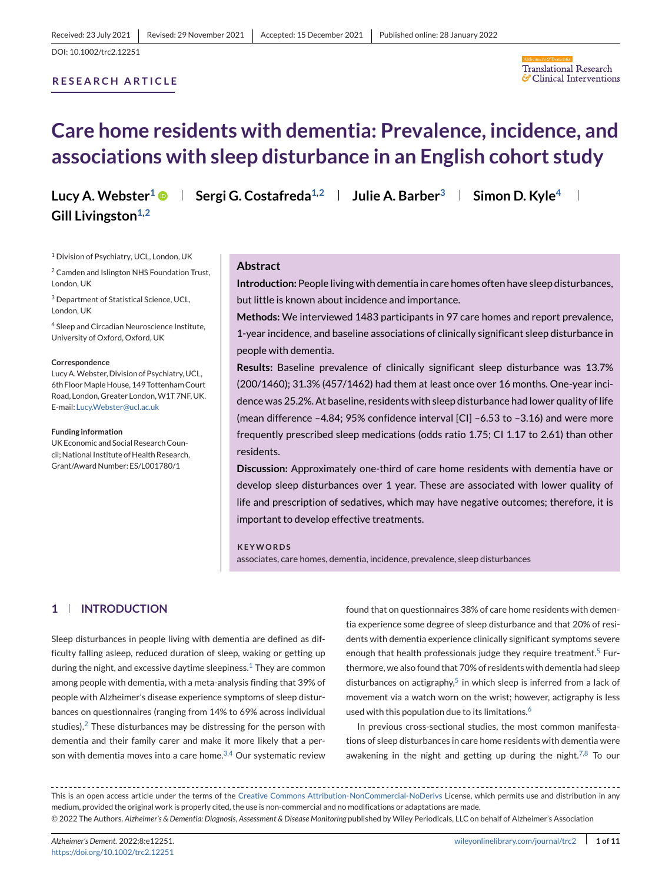#### **RESEARCH ARTICLE**



# **Care home residents with dementia: Prevalence, incidence, and associations with sleep disturbance in an English cohort study**

**Lucy A. Webster<sup>1</sup>**  $\bullet$  **| Sergi G. Costafreda<sup>1,2</sup> | Julie A. Barber<sup>3</sup> | Simon D. Kyle<sup>4</sup> |** Gill Livingston<sup>1,2</sup>

<sup>1</sup> Division of Psychiatry, UCL, London, UK

<sup>2</sup> Camden and Islington NHS Foundation Trust, London, UK

<sup>3</sup> Department of Statistical Science, UCL, London, UK

<sup>4</sup> Sleep and Circadian Neuroscience Institute, University of Oxford, Oxford, UK

#### **Correspondence**

Lucy A.Webster, Division of Psychiatry, UCL, 6th Floor Maple House, 149 Tottenham Court Road, London, Greater London, W1T 7NF, UK. E-mail: [Lucy.Webster@ucl.ac.uk](mailto:Lucy.Webster@ucl.ac.uk)

#### **Funding information**

UK Economic and Social Research Council; National Institute of Health Research, Grant/Award Number: ES/L001780/1

## **Abstract**

**Introduction:** People living with dementia in care homes often have sleep disturbances, but little is known about incidence and importance.

**Methods:** We interviewed 1483 participants in 97 care homes and report prevalence, 1-year incidence, and baseline associations of clinically significant sleep disturbance in people with dementia.

**Results:** Baseline prevalence of clinically significant sleep disturbance was 13.7% (200/1460); 31.3% (457/1462) had them at least once over 16 months. One-year incidence was 25.2%. At baseline, residents with sleep disturbance had lower quality of life (mean difference –4.84; 95% confidence interval [CI] –6.53 to –3.16) and were more frequently prescribed sleep medications (odds ratio 1.75; CI 1.17 to 2.61) than other residents.

**Discussion:** Approximately one-third of care home residents with dementia have or develop sleep disturbances over 1 year. These are associated with lower quality of life and prescription of sedatives, which may have negative outcomes; therefore, it is important to develop effective treatments.

#### **KEYWORDS**

associates, care homes, dementia, incidence, prevalence, sleep disturbances

# **1 INTRODUCTION**

Sleep disturbances in people living with dementia are defined as difficulty falling asleep, reduced duration of sleep, waking or getting up during the night, and excessive daytime sleepiness. $1$  They are common among people with dementia, with a meta-analysis finding that 39% of people with Alzheimer's disease experience symptoms of sleep disturbances on questionnaires (ranging from 14% to 69% across individual studies). $2$  These disturbances may be distressing for the person with dementia and their family carer and make it more likely that a person with dementia moves into a care home. $3,4$  Our systematic review

found that on questionnaires 38% of care home residents with dementia experience some degree of sleep disturbance and that 20% of residents with dementia experience clinically significant symptoms severe enough that health professionals judge they require treatment.<sup>[5](#page-8-0)</sup> Furthermore, we also found that 70% of residents with dementia had sleep disturbances on actigraphy,<sup>[5](#page-8-0)</sup> in which sleep is inferred from a lack of movement via a watch worn on the wrist; however, actigraphy is less used with this population due to its limitations.<sup>[6](#page-8-0)</sup>

In previous cross-sectional studies, the most common manifestations of sleep disturbances in care home residents with dementia were awakening in the night and getting up during the night.<sup>[7,8](#page-8-0)</sup> To our

This is an open access article under the terms of the [Creative Commons Attribution-NonCommercial-NoDerivs](http://creativecommons.org/licenses/by-nc-nd/4.0/) License, which permits use and distribution in any medium, provided the original work is properly cited, the use is non-commercial and no modifications or adaptations are made. © 2022 The Authors. *Alzheimer's & Dementia: Diagnosis, Assessment & Disease Monitoring* published by Wiley Periodicals, LLC on behalf of Alzheimer's Association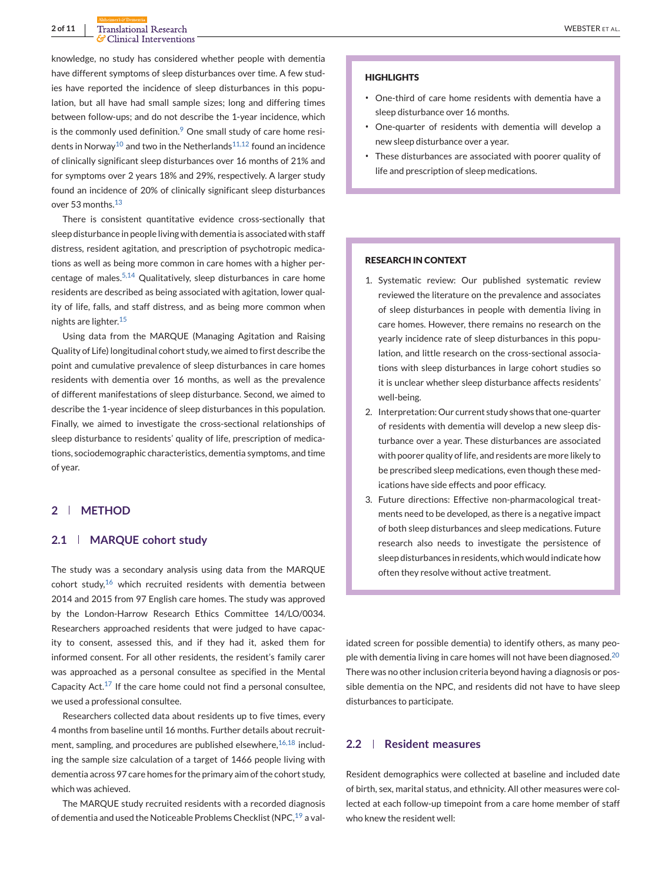knowledge, no study has considered whether people with dementia have different symptoms of sleep disturbances over time. A few studies have reported the incidence of sleep disturbances in this population, but all have had small sample sizes; long and differing times between follow-ups; and do not describe the 1-year incidence, which is the commonly used definition. $9$  One small study of care home resi-dents in Norway<sup>10</sup> and two in the Netherlands<sup>[11,12](#page-8-0)</sup> found an incidence of clinically significant sleep disturbances over 16 months of 21% and for symptoms over 2 years 18% and 29%, respectively. A larger study found an incidence of 20% of clinically significant sleep disturbances over 53 months.<sup>[13](#page-8-0)</sup>

There is consistent quantitative evidence cross-sectionally that sleep disturbance in people living with dementia is associated with staff distress, resident agitation, and prescription of psychotropic medications as well as being more common in care homes with a higher per-centage of males.<sup>[5,14](#page-8-0)</sup> Qualitatively, sleep disturbances in care home residents are described as being associated with agitation, lower quality of life, falls, and staff distress, and as being more common when nights are lighter.<sup>[15](#page-8-0)</sup>

Using data from the MARQUE (Managing Agitation and Raising Quality of Life) longitudinal cohort study, we aimed to first describe the point and cumulative prevalence of sleep disturbances in care homes residents with dementia over 16 months, as well as the prevalence of different manifestations of sleep disturbance. Second, we aimed to describe the 1-year incidence of sleep disturbances in this population. Finally, we aimed to investigate the cross-sectional relationships of sleep disturbance to residents' quality of life, prescription of medications, sociodemographic characteristics, dementia symptoms, and time of year.

# **2 METHOD**

## **2.1 MARQUE cohort study**

The study was a secondary analysis using data from the MARQUE cohort study, $16$  which recruited residents with dementia between 2014 and 2015 from 97 English care homes. The study was approved by the London-Harrow Research Ethics Committee 14/LO/0034. Researchers approached residents that were judged to have capacity to consent, assessed this, and if they had it, asked them for informed consent. For all other residents, the resident's family carer was approached as a personal consultee as specified in the Mental Capacity Act. $17$  If the care home could not find a personal consultee, we used a professional consultee.

Researchers collected data about residents up to five times, every 4 months from baseline until 16 months. Further details about recruitment, sampling, and procedures are published elsewhere,  $16,18$  including the sample size calculation of a target of 1466 people living with dementia across 97 care homes for the primary aim of the cohort study, which was achieved.

The MARQUE study recruited residents with a recorded diagnosis of dementia and used the Noticeable Problems Checklist (NPC.<sup>[19](#page-8-0)</sup> a val-

#### **HIGHLIGHTS**

- ∙ One-third of care home residents with dementia have a sleep disturbance over 16 months.
- ∙ One-quarter of residents with dementia will develop a new sleep disturbance over a year.
- ∙ These disturbances are associated with poorer quality of life and prescription of sleep medications.

## **RESEARCH IN CONTEXT**

- 1. Systematic review: Our published systematic review reviewed the literature on the prevalence and associates of sleep disturbances in people with dementia living in care homes. However, there remains no research on the yearly incidence rate of sleep disturbances in this population, and little research on the cross-sectional associations with sleep disturbances in large cohort studies so it is unclear whether sleep disturbance affects residents' well-being.
- 2. Interpretation: Our current study shows that one-quarter of residents with dementia will develop a new sleep disturbance over a year. These disturbances are associated with poorer quality of life, and residents are more likely to be prescribed sleep medications, even though these medications have side effects and poor efficacy.
- 3. Future directions: Effective non-pharmacological treatments need to be developed, as there is a negative impact of both sleep disturbances and sleep medications. Future research also needs to investigate the persistence of sleep disturbances in residents, which would indicate how often they resolve without active treatment.

idated screen for possible dementia) to identify others, as many peo-ple with dementia living in care homes will not have been diagnosed.<sup>[20](#page-8-0)</sup> There was no other inclusion criteria beyond having a diagnosis or possible dementia on the NPC, and residents did not have to have sleep disturbances to participate.

# **2.2 Resident measures**

Resident demographics were collected at baseline and included date of birth, sex, marital status, and ethnicity. All other measures were collected at each follow-up timepoint from a care home member of staff who knew the resident well: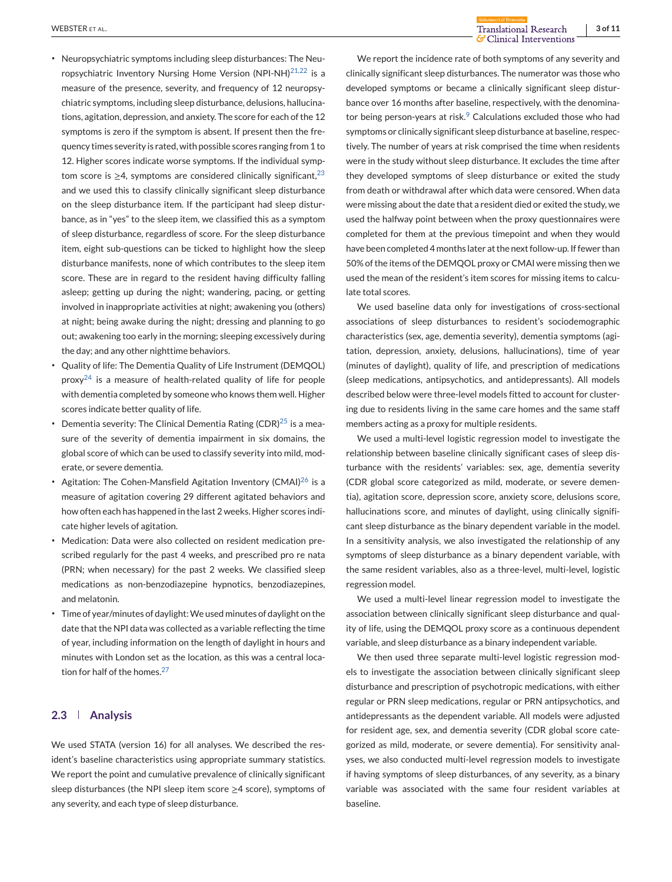- ∙ Neuropsychiatric symptoms including sleep disturbances: The Neuropsychiatric Inventory Nursing Home Version (NPI-NH) $^{21,22}$  $^{21,22}$  $^{21,22}$  is a measure of the presence, severity, and frequency of 12 neuropsychiatric symptoms, including sleep disturbance, delusions, hallucinations, agitation, depression, and anxiety. The score for each of the 12 symptoms is zero if the symptom is absent. If present then the frequency times severity is rated, with possible scores ranging from 1 to 12. Higher scores indicate worse symptoms. If the individual symptom score is  $\geq$ 4, symptoms are considered clinically significant,<sup>[23](#page-8-0)</sup> and we used this to classify clinically significant sleep disturbance on the sleep disturbance item. If the participant had sleep disturbance, as in "yes" to the sleep item, we classified this as a symptom of sleep disturbance, regardless of score. For the sleep disturbance item, eight sub-questions can be ticked to highlight how the sleep disturbance manifests, none of which contributes to the sleep item score. These are in regard to the resident having difficulty falling asleep; getting up during the night; wandering, pacing, or getting involved in inappropriate activities at night; awakening you (others) at night; being awake during the night; dressing and planning to go out; awakening too early in the morning; sleeping excessively during the day; and any other nighttime behaviors.
- ∙ Quality of life: The Dementia Quality of Life Instrument (DEMQOL)  $prox^{24}$  is a measure of health-related quality of life for people with dementia completed by someone who knows them well. Higher scores indicate better quality of life.
- Dementia severity: The Clinical Dementia Rating (CDR)<sup>[25](#page-8-0)</sup> is a measure of the severity of dementia impairment in six domains, the global score of which can be used to classify severity into mild, moderate, or severe dementia.
- ∙ Agitation: The Cohen-Mansfield Agitation Inventory (CMAI)[26](#page-8-0) is a measure of agitation covering 29 different agitated behaviors and how often each has happened in the last 2 weeks. Higher scores indicate higher levels of agitation.
- ∙ Medication: Data were also collected on resident medication prescribed regularly for the past 4 weeks, and prescribed pro re nata (PRN; when necessary) for the past 2 weeks. We classified sleep medications as non-benzodiazepine hypnotics, benzodiazepines, and melatonin.
- Time of year/minutes of daylight: We used minutes of daylight on the date that the NPI data was collected as a variable reflecting the time of year, including information on the length of daylight in hours and minutes with London set as the location, as this was a central loca-tion for half of the homes.<sup>[27](#page-8-0)</sup>

# **2.3 Analysis**

We used STATA (version 16) for all analyses. We described the resident's baseline characteristics using appropriate summary statistics. We report the point and cumulative prevalence of clinically significant sleep disturbances (the NPI sleep item score ≥4 score), symptoms of any severity, and each type of sleep disturbance.

We report the incidence rate of both symptoms of any severity and clinically significant sleep disturbances. The numerator was those who developed symptoms or became a clinically significant sleep disturbance over 16 months after baseline, respectively, with the denominator being person-years at risk. $9$  Calculations excluded those who had symptoms or clinically significant sleep disturbance at baseline, respectively. The number of years at risk comprised the time when residents were in the study without sleep disturbance. It excludes the time after they developed symptoms of sleep disturbance or exited the study from death or withdrawal after which data were censored. When data were missing about the date that a resident died or exited the study, we used the halfway point between when the proxy questionnaires were completed for them at the previous timepoint and when they would have been completed 4 months later at the next follow-up. If fewer than 50% of the items of the DEMQOL proxy or CMAI were missing then we used the mean of the resident's item scores for missing items to calculate total scores.

We used baseline data only for investigations of cross-sectional associations of sleep disturbances to resident's sociodemographic characteristics (sex, age, dementia severity), dementia symptoms (agitation, depression, anxiety, delusions, hallucinations), time of year (minutes of daylight), quality of life, and prescription of medications (sleep medications, antipsychotics, and antidepressants). All models described below were three-level models fitted to account for clustering due to residents living in the same care homes and the same staff members acting as a proxy for multiple residents.

We used a multi-level logistic regression model to investigate the relationship between baseline clinically significant cases of sleep disturbance with the residents' variables: sex, age, dementia severity (CDR global score categorized as mild, moderate, or severe dementia), agitation score, depression score, anxiety score, delusions score, hallucinations score, and minutes of daylight, using clinically significant sleep disturbance as the binary dependent variable in the model. In a sensitivity analysis, we also investigated the relationship of any symptoms of sleep disturbance as a binary dependent variable, with the same resident variables, also as a three-level, multi-level, logistic regression model.

We used a multi-level linear regression model to investigate the association between clinically significant sleep disturbance and quality of life, using the DEMQOL proxy score as a continuous dependent variable, and sleep disturbance as a binary independent variable.

We then used three separate multi-level logistic regression models to investigate the association between clinically significant sleep disturbance and prescription of psychotropic medications, with either regular or PRN sleep medications, regular or PRN antipsychotics, and antidepressants as the dependent variable. All models were adjusted for resident age, sex, and dementia severity (CDR global score categorized as mild, moderate, or severe dementia). For sensitivity analyses, we also conducted multi-level regression models to investigate if having symptoms of sleep disturbances, of any severity, as a binary variable was associated with the same four resident variables at baseline.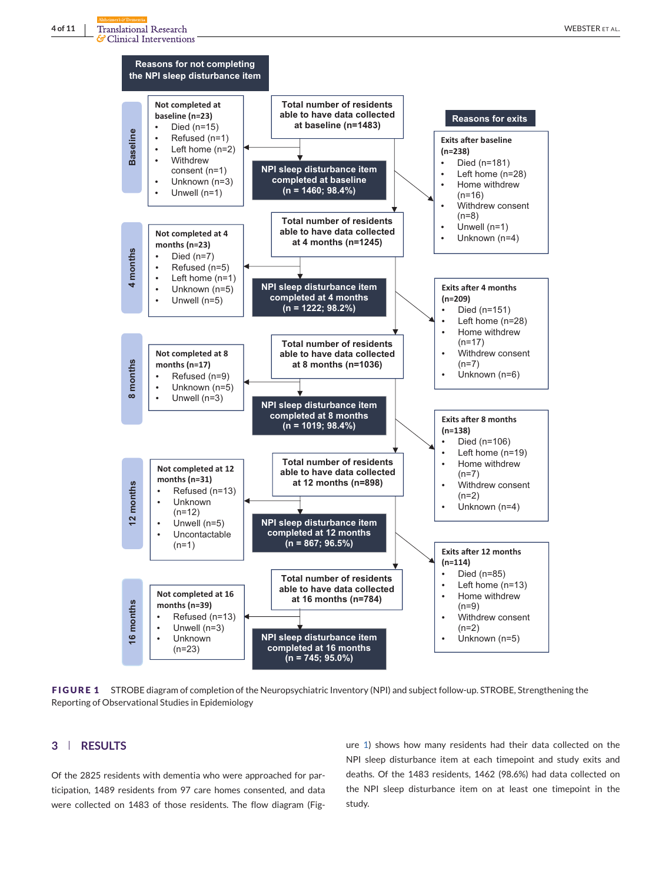

**FIGURE 1** STROBE diagram of completion of the Neuropsychiatric Inventory (NPI) and subject follow-up. STROBE, Strengthening the Reporting of Observational Studies in Epidemiology

# **3 RESULTS**

Of the 2825 residents with dementia who were approached for participation, 1489 residents from 97 care homes consented, and data were collected on 1483 of those residents. The flow diagram (Figure 1) shows how many residents had their data collected on the NPI sleep disturbance item at each timepoint and study exits and deaths. Of the 1483 residents, 1462 (98.6%) had data collected on the NPI sleep disturbance item on at least one timepoint in the study.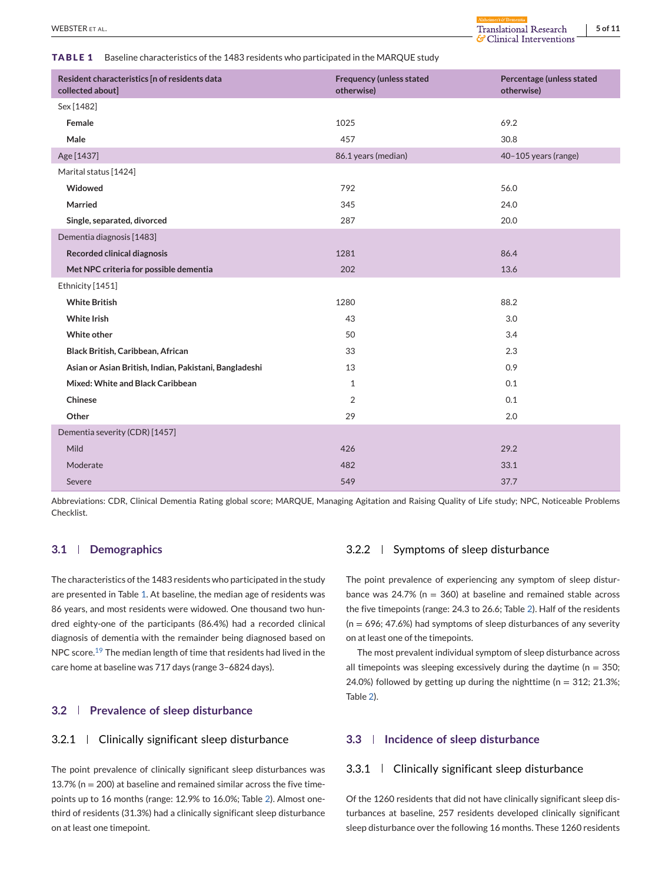**TABLE 1** Baseline characteristics of the 1483 residents who participated in the MARQUE study

| Resident characteristics [n of residents data<br>collected about] | <b>Frequency (unless stated</b><br>otherwise) | Percentage (unless stated<br>otherwise) |
|-------------------------------------------------------------------|-----------------------------------------------|-----------------------------------------|
| Sex [1482]                                                        |                                               |                                         |
| Female                                                            | 1025                                          | 69.2                                    |
| Male                                                              | 457                                           | 30.8                                    |
| Age [1437]                                                        | 86.1 years (median)                           | 40-105 years (range)                    |
| Marital status [1424]                                             |                                               |                                         |
| Widowed                                                           | 792                                           | 56.0                                    |
| Married                                                           | 345                                           | 24.0                                    |
| Single, separated, divorced                                       | 287                                           | 20.0                                    |
| Dementia diagnosis [1483]                                         |                                               |                                         |
| <b>Recorded clinical diagnosis</b>                                | 1281                                          | 86.4                                    |
| Met NPC criteria for possible dementia                            | 202                                           | 13.6                                    |
| Ethnicity [1451]                                                  |                                               |                                         |
| <b>White British</b>                                              | 1280                                          | 88.2                                    |
| <b>White Irish</b>                                                | 43                                            | 3.0                                     |
| White other                                                       | 50                                            | 3.4                                     |
| Black British, Caribbean, African                                 | 33                                            | 2.3                                     |
| Asian or Asian British, Indian, Pakistani, Bangladeshi            | 13                                            | 0.9                                     |
| Mixed: White and Black Caribbean                                  | $\mathbf{1}$                                  | 0.1                                     |
| Chinese                                                           | 2                                             | 0.1                                     |
| Other                                                             | 29                                            | 2.0                                     |
| Dementia severity (CDR) [1457]                                    |                                               |                                         |
| Mild                                                              | 426                                           | 29.2                                    |
| Moderate                                                          | 482                                           | 33.1                                    |
| Severe                                                            | 549                                           | 37.7                                    |

Abbreviations: CDR, Clinical Dementia Rating global score; MARQUE, Managing Agitation and Raising Quality of Life study; NPC, Noticeable Problems Checklist.

# **3.1 Demographics**

The characteristics of the 1483 residents who participated in the study are presented in Table 1. At baseline, the median age of residents was 86 years, and most residents were widowed. One thousand two hundred eighty-one of the participants (86.4%) had a recorded clinical diagnosis of dementia with the remainder being diagnosed based on NPC score.<sup>[19](#page-8-0)</sup> The median length of time that residents had lived in the care home at baseline was 717 days (range 3–6824 days).

## **3.2 Prevalence of sleep disturbance**

# 3.2.1 Clinically significant sleep disturbance

The point prevalence of clinically significant sleep disturbances was 13.7% ( $n = 200$ ) at baseline and remained similar across the five timepoints up to 16 months (range: 12.9% to 16.0%; Table [2\)](#page-5-0). Almost onethird of residents (31.3%) had a clinically significant sleep disturbance on at least one timepoint.

# 3.2.2 Symptoms of sleep disturbance

The point prevalence of experiencing any symptom of sleep disturbance was 24.7% ( $n = 360$ ) at baseline and remained stable across the five timepoints (range: 24.3 to 26.6; Table [2\)](#page-5-0). Half of the residents  $(n = 696; 47.6%)$  had symptoms of sleep disturbances of any severity on at least one of the timepoints.

The most prevalent individual symptom of sleep disturbance across all timepoints was sleeping excessively during the daytime ( $n = 350$ ; 24.0%) followed by getting up during the nighttime ( $n = 312$ ; 21.3%; Table [2\)](#page-5-0).

# **3.3 Incidence of sleep disturbance**

#### 3.3.1 Clinically significant sleep disturbance

Of the 1260 residents that did not have clinically significant sleep disturbances at baseline, 257 residents developed clinically significant sleep disturbance over the following 16 months. These 1260 residents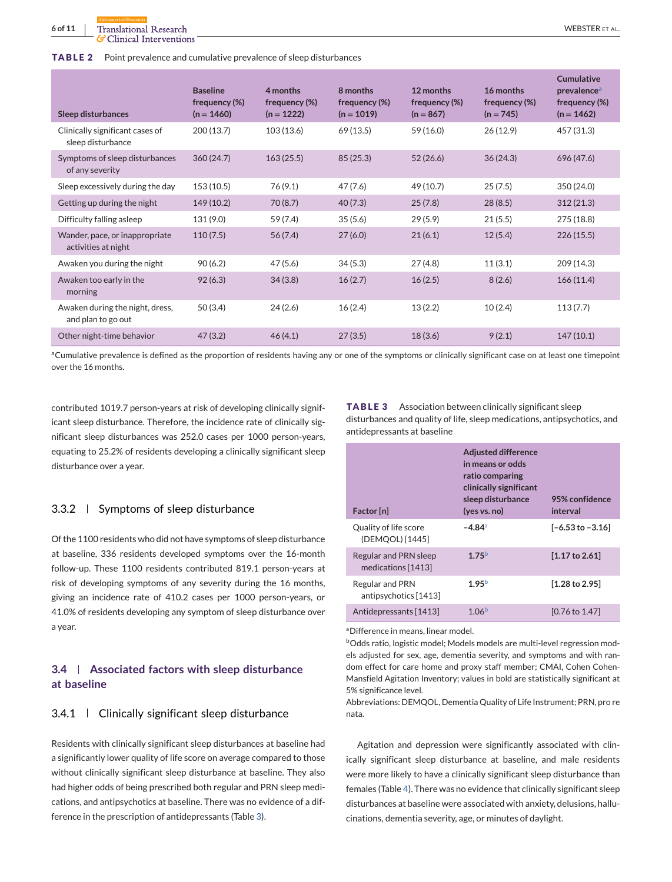<span id="page-5-0"></span>

| Sleep disturbances                                    | <b>Baseline</b><br>frequency (%)<br>$(n = 1460)$ | 4 months<br>frequency (%)<br>$(n = 1222)$ | 8 months<br>frequency (%)<br>$(n = 1019)$ | 12 months<br>frequency (%)<br>$(n = 867)$ | 16 months<br>frequency (%)<br>$(n = 745)$ | <b>Cumulative</b><br>prevalence <sup>a</sup><br>frequency (%)<br>$(n = 1462)$ |
|-------------------------------------------------------|--------------------------------------------------|-------------------------------------------|-------------------------------------------|-------------------------------------------|-------------------------------------------|-------------------------------------------------------------------------------|
| Clinically significant cases of<br>sleep disturbance  | 200 (13.7)                                       | 103(13.6)                                 | 69 (13.5)                                 | 59 (16.0)                                 | 26(12.9)                                  | 457 (31.3)                                                                    |
| Symptoms of sleep disturbances<br>of any severity     | 360(24.7)                                        | 163(25.5)                                 | 85(25.3)                                  | 52(26.6)                                  | 36(24.3)                                  | 696 (47.6)                                                                    |
| Sleep excessively during the day                      | 153(10.5)                                        | 76(9.1)                                   | 47 (7.6)                                  | 49 (10.7)                                 | 25(7.5)                                   | 350 (24.0)                                                                    |
| Getting up during the night                           | 149 (10.2)                                       | 70 (8.7)                                  | 40(7.3)                                   | 25(7.8)                                   | 28(8.5)                                   | 312(21.3)                                                                     |
| Difficulty falling asleep                             | 131 (9.0)                                        | 59 (7.4)                                  | 35(5.6)                                   | 29(5.9)                                   | 21(5.5)                                   | 275 (18.8)                                                                    |
| Wander, pace, or inappropriate<br>activities at night | 110(7.5)                                         | 56(7.4)                                   | 27(6.0)                                   | 21(6.1)                                   | 12(5.4)                                   | 226(15.5)                                                                     |
| Awaken you during the night                           | 90(6.2)                                          | 47(5.6)                                   | 34(5.3)                                   | 27(4.8)                                   | 11(3.1)                                   | 209 (14.3)                                                                    |
| Awaken too early in the<br>morning                    | 92(6.3)                                          | 34(3.8)                                   | 16(2.7)                                   | 16(2.5)                                   | 8(2.6)                                    | 166(11.4)                                                                     |
| Awaken during the night, dress,<br>and plan to go out | 50(3.4)                                          | 24(2.6)                                   | 16(2.4)                                   | 13(2.2)                                   | 10(2.4)                                   | 113(7.7)                                                                      |
| Other night-time behavior                             | 47(3.2)                                          | 46(4.1)                                   | 27(3.5)                                   | 18(3.6)                                   | 9(2.1)                                    | 147(10.1)                                                                     |

aCumulative prevalence is defined as the proportion of residents having any or one of the symptoms or clinically significant case on at least one timepoint over the 16 months.

contributed 1019.7 person-years at risk of developing clinically significant sleep disturbance. Therefore, the incidence rate of clinically significant sleep disturbances was 252.0 cases per 1000 person-years, equating to 25.2% of residents developing a clinically significant sleep disturbance over a year.

### $3.3.2$  Symptoms of sleep disturbance

Of the 1100 residents who did not have symptoms of sleep disturbance at baseline, 336 residents developed symptoms over the 16-month follow-up. These 1100 residents contributed 819.1 person-years at risk of developing symptoms of any severity during the 16 months, giving an incidence rate of 410.2 cases per 1000 person-years, or 41.0% of residents developing any symptom of sleep disturbance over a year.

# **3.4 Associated factors with sleep disturbance at baseline**

## 3.4.1 Clinically significant sleep disturbance

Residents with clinically significant sleep disturbances at baseline had a significantly lower quality of life score on average compared to those without clinically significant sleep disturbance at baseline. They also had higher odds of being prescribed both regular and PRN sleep medications, and antipsychotics at baseline. There was no evidence of a difference in the prescription of antidepressants (Table 3).

**TABLE 3** Association between clinically significant sleep disturbances and quality of life, sleep medications, antipsychotics, and antidepressants at baseline

| Factor [n]                                  | <b>Adjusted difference</b><br>in means or odds<br>ratio comparing<br>clinically significant<br>sleep disturbance<br>(yes vs. no) | 95% confidence<br>interval  |
|---------------------------------------------|----------------------------------------------------------------------------------------------------------------------------------|-----------------------------|
| Quality of life score<br>(DEMOOL) [1445]    | $-4.84$ <sup>a</sup>                                                                                                             | $[-6.53 \text{ to } -3.16]$ |
| Regular and PRN sleep<br>medications [1413] | 175 <sup>b</sup>                                                                                                                 | $[1.17 \text{ to } 2.61]$   |
| Regular and PRN<br>antipsychotics [1413]    | 1.95 <sup>b</sup>                                                                                                                | $[1.28 \text{ to } 2.95]$   |
| Antidepressants [1413]                      | 1 $06b$                                                                                                                          | [0.76 to 1.47]              |

aDifference in means, linear model.

bOdds ratio, logistic model; Models models are multi-level regression models adjusted for sex, age, dementia severity, and symptoms and with random effect for care home and proxy staff member; CMAI, Cohen Cohen-Mansfield Agitation Inventory; values in bold are statistically significant at 5% significance level.

Abbreviations: DEMQOL, Dementia Quality of Life Instrument; PRN, pro re nata.

Agitation and depression were significantly associated with clinically significant sleep disturbance at baseline, and male residents were more likely to have a clinically significant sleep disturbance than females (Table [4\)](#page-6-0). There was no evidence that clinically significant sleep disturbances at baseline were associated with anxiety, delusions, hallucinations, dementia severity, age, or minutes of daylight.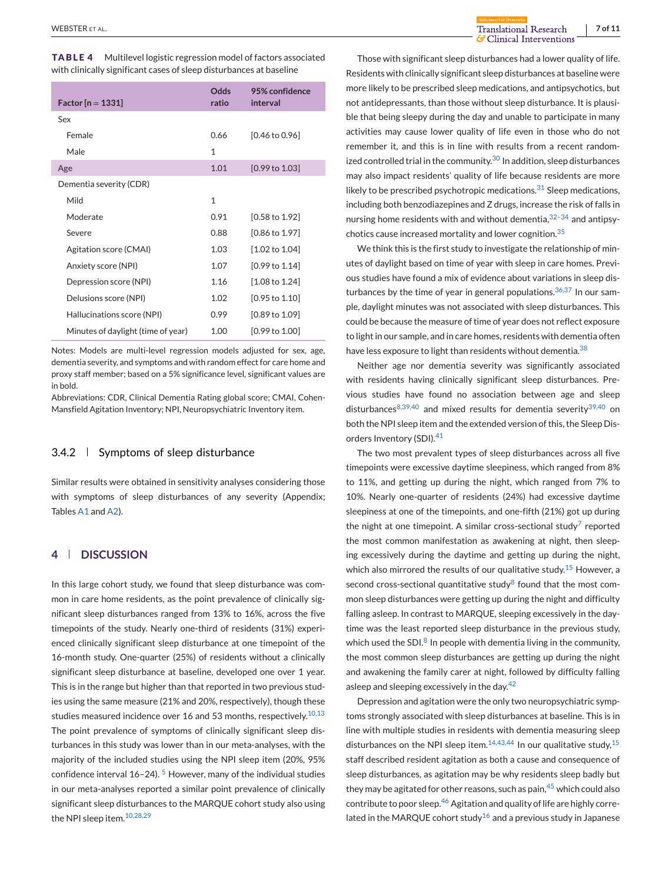<span id="page-6-0"></span>**TABLE 4** Multilevel logistic regression model of factors associated with clinically significant cases of sleep disturbances at baseline

| Factor $[n = 1331]$                | Odds<br>ratio | 95% confidence<br>interval |
|------------------------------------|---------------|----------------------------|
| Sex                                |               |                            |
| Female                             | 0.66          | $[0.46 \text{ to } 0.96]$  |
| Male                               | 1             |                            |
| Age                                | 1.01          | [0.99 to 1.03]             |
| Dementia severity (CDR)            |               |                            |
| Mild                               | 1             |                            |
| Moderate                           | 0.91          | $[0.58 \text{ to } 1.92]$  |
| Severe                             | 0.88          | $[0.86 \text{ to } 1.97]$  |
| Agitation score (CMAI)             | 1.03          | $[1.02 \text{ to } 1.04]$  |
| Anxiety score (NPI)                | 1.07          | $[0.99 \text{ to } 1.14]$  |
| Depression score (NPI)             | 1.16          | $[1.08 \text{ to } 1.24]$  |
| Delusions score (NPI)              | 1.02          | $[0.95 \text{ to } 1.10]$  |
| Hallucinations score (NPI)         | 0.99          | $[0.89 \text{ to } 1.09]$  |
| Minutes of daylight (time of year) | 1.00          | [0.99 to 1.00]             |
|                                    |               |                            |

Notes: Models are multi-level regression models adjusted for sex, age, dementia severity, and symptoms and with random effect for care home and proxy staff member; based on a 5% significance level, significant values are in bold.

Abbreviations: CDR, Clinical Dementia Rating global score; CMAI, Cohen-Mansfield Agitation Inventory; NPI, Neuropsychiatric Inventory item.

## 3.4.2 Symptoms of sleep disturbance

Similar results were obtained in sensitivity analyses considering those with symptoms of sleep disturbances of any severity (Appendix; Tables [A1](#page-9-0) and [A2\)](#page-10-0).

### **4 DISCUSSION**

In this large cohort study, we found that sleep disturbance was common in care home residents, as the point prevalence of clinically significant sleep disturbances ranged from 13% to 16%, across the five timepoints of the study. Nearly one-third of residents (31%) experienced clinically significant sleep disturbance at one timepoint of the 16-month study. One-quarter (25%) of residents without a clinically significant sleep disturbance at baseline, developed one over 1 year. This is in the range but higher than that reported in two previous studies using the same measure (21% and 20%, respectively), though these studies measured incidence over 16 and 53 months, respectively. $10,13$ The point prevalence of symptoms of clinically significant sleep disturbances in this study was lower than in our meta-analyses, with the majority of the included studies using the NPI sleep item (20%, 95% confidence interval  $16-24$ ). <sup>[5](#page-8-0)</sup> However, many of the individual studies in our meta-analyses reported a similar point prevalence of clinically significant sleep disturbances to the MARQUE cohort study also using the NPI sleep item.<sup>[10,28,29](#page-8-0)</sup>

Those with significant sleep disturbances had a lower quality of life. Residents with clinically significant sleep disturbances at baseline were more likely to be prescribed sleep medications, and antipsychotics, but not antidepressants, than those without sleep disturbance. It is plausible that being sleepy during the day and unable to participate in many activities may cause lower quality of life even in those who do not remember it, and this is in line with results from a recent random-ized controlled trial in the community.<sup>[30](#page-8-0)</sup> In addition, sleep disturbances may also impact residents' quality of life because residents are more likely to be prescribed psychotropic medications.<sup>[31](#page-9-0)</sup> Sleep medications, including both benzodiazepines and Z drugs, increase the risk of falls in nursing home residents with and without dementia,  $32-34$  and antipsychotics cause increased mortality and lower cognition.[35](#page-9-0)

We think this is the first study to investigate the relationship of minutes of daylight based on time of year with sleep in care homes. Previous studies have found a mix of evidence about variations in sleep disturbances by the time of year in general populations.  $36,37$  In our sample, daylight minutes was not associated with sleep disturbances. This could be because the measure of time of year does not reflect exposure to light in our sample, and in care homes, residents with dementia often have less exposure to light than residents without dementia.<sup>[38](#page-9-0)</sup>

Neither age nor dementia severity was significantly associated with residents having clinically significant sleep disturbances. Previous studies have found no association between age and sleep disturbances<sup>8,39,40</sup> and mixed results for dementia severity<sup>39,40</sup> on both the NPI sleep item and the extended version of this, the Sleep Dis-orders Inventory (SDI).<sup>[41](#page-9-0)</sup>

The two most prevalent types of sleep disturbances across all five timepoints were excessive daytime sleepiness, which ranged from 8% to 11%, and getting up during the night, which ranged from 7% to 10%. Nearly one-quarter of residents (24%) had excessive daytime sleepiness at one of the timepoints, and one-fifth (21%) got up during the night at one timepoint. A similar cross-sectional study<sup>[7](#page-8-0)</sup> reported the most common manifestation as awakening at night, then sleeping excessively during the daytime and getting up during the night, which also mirrored the results of our qualitative study.<sup>[15](#page-8-0)</sup> However, a second cross-sectional quantitative study $8$  found that the most common sleep disturbances were getting up during the night and difficulty falling asleep. In contrast to MARQUE, sleeping excessively in the daytime was the least reported sleep disturbance in the previous study, which used the SDI. $<sup>8</sup>$  $<sup>8</sup>$  $<sup>8</sup>$  In people with dementia living in the community,</sup> the most common sleep disturbances are getting up during the night and awakening the family carer at night, followed by difficulty falling asleep and sleeping excessively in the day.<sup>42</sup>

Depression and agitation were the only two neuropsychiatric symptoms strongly associated with sleep disturbances at baseline. This is in line with multiple studies in residents with dementia measuring sleep disturbances on the NPI sleep item. $14,43,44$  In our qualitative study,  $15$ staff described resident agitation as both a cause and consequence of sleep disturbances, as agitation may be why residents sleep badly but they may be agitated for other reasons, such as pain, $45$  which could also contribute to poor sleep.<sup>[46](#page-9-0)</sup> Agitation and quality of life are highly corre-lated in the MARQUE cohort study<sup>[16](#page-8-0)</sup> and a previous study in Japanese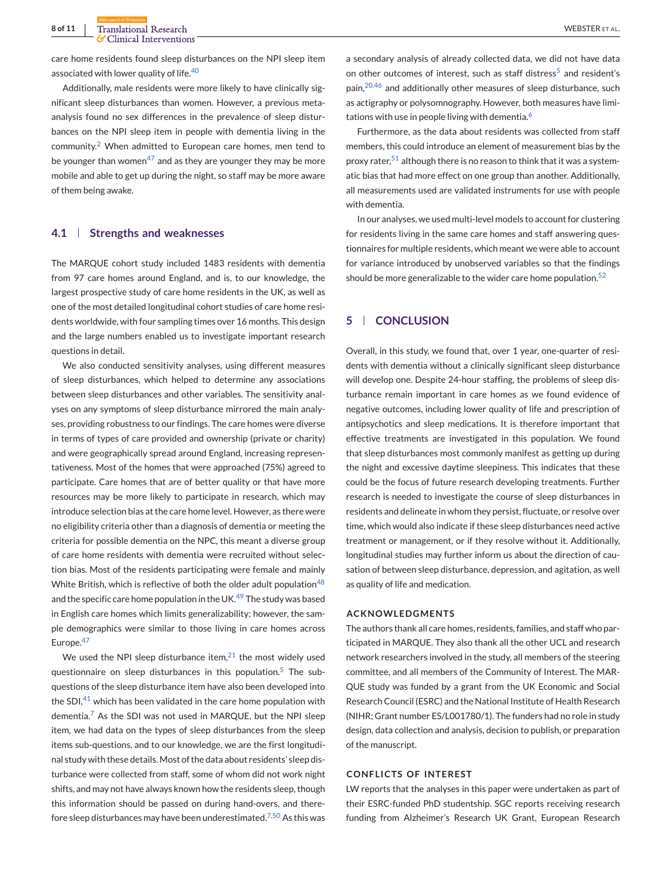care home residents found sleep disturbances on the NPI sleep item associated with lower quality of life.<sup>[40](#page-9-0)</sup>

Additionally, male residents were more likely to have clinically significant sleep disturbances than women. However, a previous metaanalysis found no sex differences in the prevalence of sleep disturbances on the NPI sleep item in people with dementia living in the community.[2](#page-8-0) When admitted to European care homes, men tend to be younger than women<sup>47</sup> and as they are younger they may be more mobile and able to get up during the night, so staff may be more aware of them being awake.

# **4.1 Strengths and weaknesses**

The MARQUE cohort study included 1483 residents with dementia from 97 care homes around England, and is, to our knowledge, the largest prospective study of care home residents in the UK, as well as one of the most detailed longitudinal cohort studies of care home residents worldwide, with four sampling times over 16 months. This design and the large numbers enabled us to investigate important research questions in detail.

We also conducted sensitivity analyses, using different measures of sleep disturbances, which helped to determine any associations between sleep disturbances and other variables. The sensitivity analyses on any symptoms of sleep disturbance mirrored the main analyses, providing robustness to our findings. The care homes were diverse in terms of types of care provided and ownership (private or charity) and were geographically spread around England, increasing representativeness. Most of the homes that were approached (75%) agreed to participate. Care homes that are of better quality or that have more resources may be more likely to participate in research, which may introduce selection bias at the care home level. However, as there were no eligibility criteria other than a diagnosis of dementia or meeting the criteria for possible dementia on the NPC, this meant a diverse group of care home residents with dementia were recruited without selection bias. Most of the residents participating were female and mainly White British, which is reflective of both the older adult population<sup>[48](#page-9-0)</sup> and the specific care home population in the UK. $49$  The study was based in English care homes which limits generalizability; however, the sample demographics were similar to those living in care homes across Europe.<sup>[47](#page-9-0)</sup>

We used the NPI sleep disturbance item, $21$  the most widely used questionnaire on sleep disturbances in this population.<sup>[5](#page-8-0)</sup> The subquestions of the sleep disturbance item have also been developed into the SDI, $^{41}$  $^{41}$  $^{41}$  which has been validated in the care home population with dementia.<sup>[7](#page-8-0)</sup> As the SDI was not used in MARQUE, but the NPI sleep item, we had data on the types of sleep disturbances from the sleep items sub-questions, and to our knowledge, we are the first longitudinal study with these details. Most of the data about residents' sleep disturbance were collected from staff, some of whom did not work night shifts, and may not have always known how the residents sleep, though this information should be passed on during hand-overs, and there-fore sleep disturbances may have been underestimated.<sup>[7,50](#page-8-0)</sup> As this was

a secondary analysis of already collected data, we did not have data on other outcomes of interest, such as staff distress<sup>[5](#page-8-0)</sup> and resident's pain,<sup>[20,46](#page-8-0)</sup> and additionally other measures of sleep disturbance, such as actigraphy or polysomnography. However, both measures have limitations with use in people living with dementia. $6$ 

Furthermore, as the data about residents was collected from staff members, this could introduce an element of measurement bias by the proxy rater,  $51$  although there is no reason to think that it was a systematic bias that had more effect on one group than another. Additionally, all measurements used are validated instruments for use with people with dementia.

In our analyses, we used multi-level models to account for clustering for residents living in the same care homes and staff answering questionnaires for multiple residents, which meant we were able to account for variance introduced by unobserved variables so that the findings should be more generalizable to the wider care home population. $52$ 

# **5 CONCLUSION**

Overall, in this study, we found that, over 1 year, one-quarter of residents with dementia without a clinically significant sleep disturbance will develop one. Despite 24-hour staffing, the problems of sleep disturbance remain important in care homes as we found evidence of negative outcomes, including lower quality of life and prescription of antipsychotics and sleep medications. It is therefore important that effective treatments are investigated in this population. We found that sleep disturbances most commonly manifest as getting up during the night and excessive daytime sleepiness. This indicates that these could be the focus of future research developing treatments. Further research is needed to investigate the course of sleep disturbances in residents and delineate in whom they persist, fluctuate, or resolve over time, which would also indicate if these sleep disturbances need active treatment or management, or if they resolve without it. Additionally, longitudinal studies may further inform us about the direction of causation of between sleep disturbance, depression, and agitation, as well as quality of life and medication.

#### **ACKNOWLEDGMENTS**

The authors thank all care homes, residents, families, and staff who participated in MARQUE. They also thank all the other UCL and research network researchers involved in the study, all members of the steering committee, and all members of the Community of Interest. The MAR-QUE study was funded by a grant from the UK Economic and Social Research Council (ESRC) and the National Institute of Health Research (NIHR; Grant number ES/L001780/1). The funders had no role in study design, data collection and analysis, decision to publish, or preparation of the manuscript.

# **CONFLICTS OF INTEREST**

LW reports that the analyses in this paper were undertaken as part of their ESRC-funded PhD studentship. SGC reports receiving research funding from Alzheimer's Research UK Grant, European Research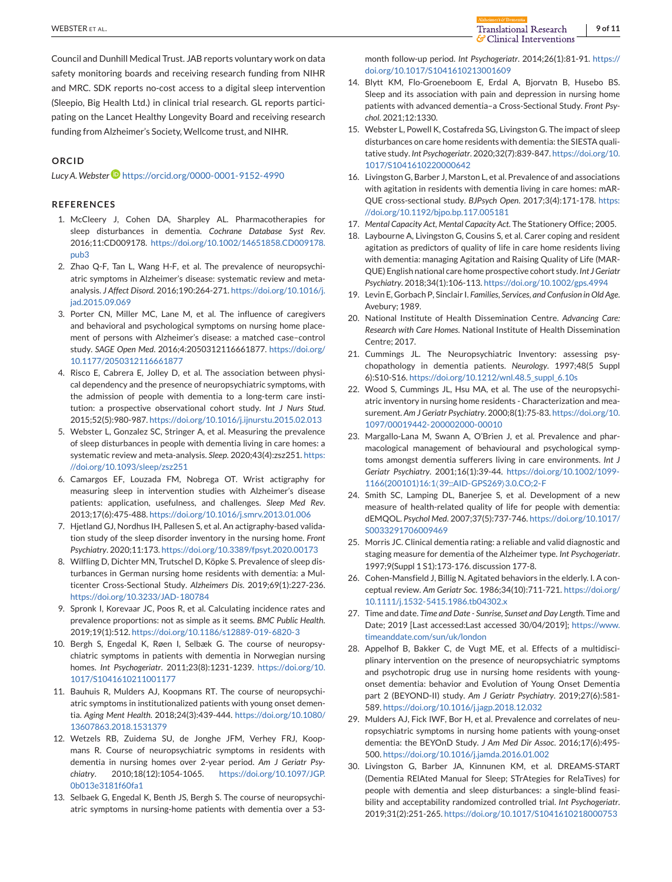<span id="page-8-0"></span>Council and Dunhill Medical Trust. JAB reports voluntary work on data safety monitoring boards and receiving research funding from NIHR and MRC. SDK reports no-cost access to a digital sleep intervention (Sleepio, Big Health Ltd.) in clinical trial research. GL reports participating on the Lancet Healthy Longevity Board and receiving research funding from Alzheimer's Society, Wellcome trust, and NIHR.

## **ORCID**

Lucy A. Webster<sup>D</sup> <https://orcid.org/0000-0001-9152-4990>

#### **REFERENCES**

- 1. McCleery J, Cohen DA, Sharpley AL. Pharmacotherapies for sleep disturbances in dementia. *Cochrane Database Syst Rev*. 2016;11:CD009178. [https://doi.org/10.1002/14651858.CD009178.](https://doi.org/10.1002/14651858.CD009178.pub3) [pub3](https://doi.org/10.1002/14651858.CD009178.pub3)
- 2. Zhao Q-F, Tan L, Wang H-F, et al. The prevalence of neuropsychiatric symptoms in Alzheimer's disease: systematic review and metaanalysis. *J Affect Disord*. 2016;190:264-271. [https://doi.org/10.1016/j.](https://doi.org/10.1016/j.jad.2015.09.069) [jad.2015.09.069](https://doi.org/10.1016/j.jad.2015.09.069)
- 3. Porter CN, Miller MC, Lane M, et al. The influence of caregivers and behavioral and psychological symptoms on nursing home placement of persons with Alzheimer's disease: a matched case–control study. *SAGE Open Med*. 2016;4:2050312116661877. [https://doi.org/](https://doi.org/10.1177/2050312116661877) [10.1177/2050312116661877](https://doi.org/10.1177/2050312116661877)
- 4. Risco E, Cabrera E, Jolley D, et al. The association between physical dependency and the presence of neuropsychiatric symptoms, with the admission of people with dementia to a long-term care institution: a prospective observational cohort study. *Int J Nurs Stud*. 2015;52(5):980-987. <https://doi.org/10.1016/j.ijnurstu.2015.02.013>
- 5. Webster L, Gonzalez SC, Stringer A, et al. Measuring the prevalence of sleep disturbances in people with dementia living in care homes: a systematic review and meta-analysis. *Sleep*. 2020;43(4):zsz251. [https:](https://doi.org/10.1093/sleep/zsz251) [//doi.org/10.1093/sleep/zsz251](https://doi.org/10.1093/sleep/zsz251)
- 6. Camargos EF, Louzada FM, Nobrega OT. Wrist actigraphy for measuring sleep in intervention studies with Alzheimer's disease patients: application, usefulness, and challenges. *Sleep Med Rev*. 2013;17(6):475-488. <https://doi.org/10.1016/j.smrv.2013.01.006>
- 7. Hjetland GJ, Nordhus IH, Pallesen S, et al. An actigraphy-based validation study of the sleep disorder inventory in the nursing home. *Front Psychiatry*. 2020;11:173. <https://doi.org/10.3389/fpsyt.2020.00173>
- 8. Wilfling D, Dichter MN, Trutschel D, Köpke S. Prevalence of sleep disturbances in German nursing home residents with dementia: a Multicenter Cross-Sectional Study. *Alzheimers Dis*. 2019;69(1):227-236. <https://doi.org/10.3233/JAD-180784>
- 9. Spronk I, Korevaar JC, Poos R, et al. Calculating incidence rates and prevalence proportions: not as simple as it seems. *BMC Public Health*. 2019;19(1):512. <https://doi.org/10.1186/s12889-019-6820-3>
- 10. Bergh S, Engedal K, Røen I, Selbæk G. The course of neuropsychiatric symptoms in patients with dementia in Norwegian nursing homes. *Int Psychogeriatr*. 2011;23(8):1231-1239. [https://doi.org/10.](https://doi.org/10.1017/S1041610211001177) [1017/S1041610211001177](https://doi.org/10.1017/S1041610211001177)
- 11. Bauhuis R, Mulders AJ, Koopmans RT. The course of neuropsychiatric symptoms in institutionalized patients with young onset dementia. *Aging Ment Health*. 2018;24(3):439-444. [https://doi.org/10.1080/](https://doi.org/10.1080/13607863.2018.1531379) [13607863.2018.1531379](https://doi.org/10.1080/13607863.2018.1531379)
- 12. Wetzels RB, Zuidema SU, de Jonghe JFM, Verhey FRJ, Koopmans R. Course of neuropsychiatric symptoms in residents with dementia in nursing homes over 2-year period. *Am J Geriatr Psychiatry*. 2010;18(12):1054-1065. [https://doi.org/10.1097/JGP.](https://doi.org/10.1097/JGP.0b013e3181f60fa1) [0b013e3181f60fa1](https://doi.org/10.1097/JGP.0b013e3181f60fa1)
- 13. Selbaek G, Engedal K, Benth JS, Bergh S. The course of neuropsychiatric symptoms in nursing-home patients with dementia over a 53-

month follow-up period. *Int Psychogeriatr*. 2014;26(1):81-91. [https://](https://doi.org/10.1017/S1041610213001609) [doi.org/10.1017/S1041610213001609](https://doi.org/10.1017/S1041610213001609)

- 14. Blytt KM, Flo-Groeneboom E, Erdal A, Bjorvatn B, Husebo BS. Sleep and its association with pain and depression in nursing home patients with advanced dementia–a Cross-Sectional Study. *Front Psychol*. 2021;12:1330.
- 15. Webster L, Powell K, Costafreda SG, Livingston G. The impact of sleep disturbances on care home residents with dementia: the SIESTA qualitative study. *Int Psychogeriatr*. 2020;32(7):839-847. [https://doi.org/10.](https://doi.org/10.1017/S1041610220000642) [1017/S1041610220000642](https://doi.org/10.1017/S1041610220000642)
- 16. Livingston G, Barber J, Marston L, et al. Prevalence of and associations with agitation in residents with dementia living in care homes: mAR-QUE cross-sectional study. *BJPsych Open*. 2017;3(4):171-178. [https:](https://doi.org/10.1192/bjpo.bp.117.005181) [//doi.org/10.1192/bjpo.bp.117.005181](https://doi.org/10.1192/bjpo.bp.117.005181)
- 17. *Mental Capacity Act, Mental Capacity Act*. The Stationery Office; 2005.
- 18. Laybourne A, Livingston G, Cousins S, et al. Carer coping and resident agitation as predictors of quality of life in care home residents living with dementia: managing Agitation and Raising Quality of Life (MAR-QUE) English national care home prospective cohort study. *Int J Geriatr Psychiatry*. 2018;34(1):106-113. <https://doi.org/10.1002/gps.4994>
- 19. Levin E, Gorbach P, Sinclair I. *Families, Services, and Confusion in Old Age*. Avebury; 1989.
- 20. National Institute of Health Dissemination Centre. *Advancing Care: Research with Care Homes*. National Institute of Health Dissemination Centre; 2017.
- 21. Cummings JL. The Neuropsychiatric Inventory: assessing psychopathology in dementia patients. *Neurology*. 1997;48(5 Suppl 6):S10-S16. [https://doi.org/10.1212/wnl.48.5\\_suppl\\_6.10s](https://doi.org/10.1212/wnl.48.5_suppl_6.10s)
- 22. Wood S, Cummings JL, Hsu MA, et al. The use of the neuropsychiatric inventory in nursing home residents - Characterization and measurement. *Am J Geriatr Psychiatry*. 2000;8(1):75-83. [https://doi.org/10.](https://doi.org/10.1097/00019442-200002000-00010) [1097/00019442-200002000-00010](https://doi.org/10.1097/00019442-200002000-00010)
- 23. Margallo-Lana M, Swann A, O'Brien J, et al. Prevalence and pharmacological management of behavioural and psychological symptoms amongst dementia sufferers living in care environments. *Int J Geriatr Psychiatry*. 2001;16(1):39-44. [https://doi.org/10.1002/1099-](https://doi.org/10.1002/1099-1166(200101)16:1%3C39::AID-GPS269%3E3.0.CO;2-F) [1166\(200101\)16:1](https://doi.org/10.1002/1099-1166(200101)16:1%3C39::AID-GPS269%3E3.0.CO;2-F)⟨39::AID-GPS269⟩3.0.CO;2-F
- 24. Smith SC, Lamping DL, Banerjee S, et al. Development of a new measure of health-related quality of life for people with dementia: dEMQOL. *Psychol Med*. 2007;37(5):737-746. [https://doi.org/10.1017/](https://doi.org/10.1017/S0033291706009469) [S0033291706009469](https://doi.org/10.1017/S0033291706009469)
- 25. Morris JC. Clinical dementia rating: a reliable and valid diagnostic and staging measure for dementia of the Alzheimer type. *Int Psychogeriatr*. 1997;9(Suppl 1 S1):173-176. discussion 177-8.
- 26. Cohen-Mansfield J, Billig N. Agitated behaviors in the elderly. I. A conceptual review. *Am Geriatr Soc*. 1986;34(10):711-721. [https://doi.org/](https://doi.org/10.1111/j.1532-5415.1986.tb04302.x) [10.1111/j.1532-5415.1986.tb04302.x](https://doi.org/10.1111/j.1532-5415.1986.tb04302.x)
- 27. Time and date. *Time and Date Sunrise, Sunset and Day Length*. Time and Date; 2019 [Last accessed:Last accessed 30/04/2019]; [https://www.](https://www.timeanddate.com/sun/uk/london) [timeanddate.com/sun/uk/london](https://www.timeanddate.com/sun/uk/london)
- 28. Appelhof B, Bakker C, de Vugt ME, et al. Effects of a multidisciplinary intervention on the presence of neuropsychiatric symptoms and psychotropic drug use in nursing home residents with youngonset dementia: behavior and Evolution of Young Onset Dementia part 2 (BEYOND-II) study. *Am J Geriatr Psychiatry*. 2019;27(6):581- 589. <https://doi.org/10.1016/j.jagp.2018.12.032>
- 29. Mulders AJ, Fick IWF, Bor H, et al. Prevalence and correlates of neuropsychiatric symptoms in nursing home patients with young-onset dementia: the BEYOnD Study. *J Am Med Dir Assoc*. 2016;17(6):495- 500. <https://doi.org/10.1016/j.jamda.2016.01.002>
- 30. Livingston G, Barber JA, Kinnunen KM, et al. DREAMS-START (Dementia RElAted Manual for Sleep; STrAtegies for RelaTives) for people with dementia and sleep disturbances: a single-blind feasibility and acceptability randomized controlled trial. *Int Psychogeriatr*. 2019;31(2):251-265. <https://doi.org/10.1017/S1041610218000753>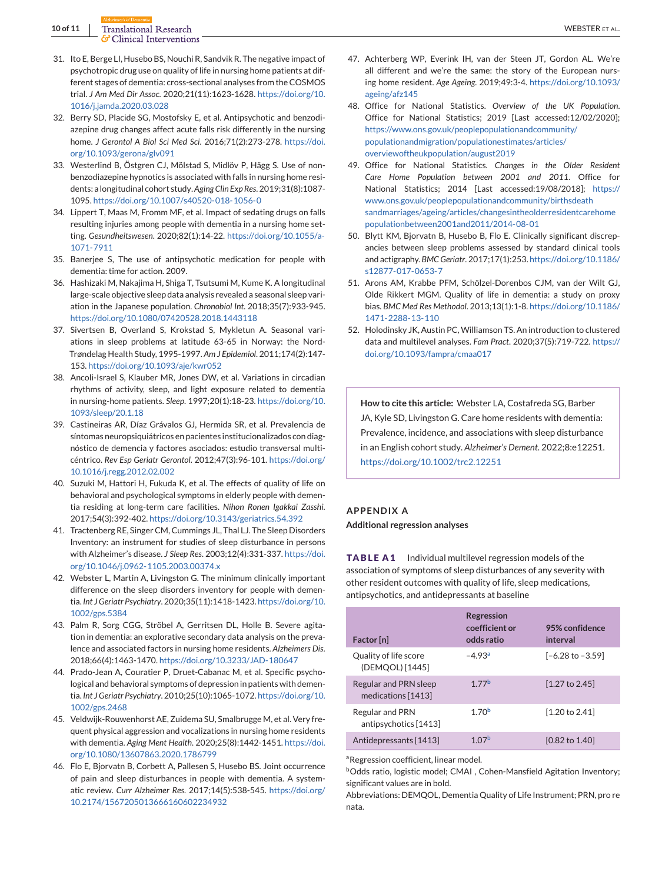<span id="page-9-0"></span>**10 of 11** Translational Research WEBSTER ET AL.

- 31. Ito E, Berge LI, Husebo BS, Nouchi R, Sandvik R. The negative impact of psychotropic drug use on quality of life in nursing home patients at different stages of dementia: cross-sectional analyses from the COSMOS trial. *J Am Med Dir Assoc*. 2020;21(11):1623-1628. [https://doi.org/10.](https://doi.org/10.1016/j.jamda.2020.03.028) [1016/j.jamda.2020.03.028](https://doi.org/10.1016/j.jamda.2020.03.028)
- 32. Berry SD, Placide SG, Mostofsky E, et al. Antipsychotic and benzodiazepine drug changes affect acute falls risk differently in the nursing home. *J Gerontol A Biol Sci Med Sci*. 2016;71(2):273-278. [https://doi.](https://doi.org/10.1093/gerona/glv091) [org/10.1093/gerona/glv091](https://doi.org/10.1093/gerona/glv091)
- 33. Westerlind B, Östgren CJ, Mölstad S, Midlöv P, Hägg S. Use of nonbenzodiazepine hypnotics is associated with falls in nursing home residents: a longitudinal cohort study.*Aging Clin Exp Res*. 2019;31(8):1087- 1095. <https://doi.org/10.1007/s40520-018-1056-0>
- 34. Lippert T, Maas M, Fromm MF, et al. Impact of sedating drugs on falls resulting injuries among people with dementia in a nursing home setting. *Gesundheitswesen*. 2020;82(1):14-22. [https://doi.org/10.1055/a-](https://doi.org/10.1055/a-1071-7911)[1071-7911](https://doi.org/10.1055/a-1071-7911)
- 35. Banerjee S, The use of antipsychotic medication for people with dementia: time for action. 2009.
- 36. Hashizaki M, Nakajima H, Shiga T, Tsutsumi M, Kume K. A longitudinal large-scale objective sleep data analysis revealed a seasonal sleep variation in the Japanese population. *Chronobiol Int*. 2018;35(7):933-945. <https://doi.org/10.1080/07420528.2018.1443118>
- 37. Sivertsen B, Overland S, Krokstad S, Mykletun A. Seasonal variations in sleep problems at latitude 63-65 in Norway: the Nord-Trøndelag Health Study, 1995-1997. *Am J Epidemiol*. 2011;174(2):147- 153. <https://doi.org/10.1093/aje/kwr052>
- 38. Ancoli-Israel S, Klauber MR, Jones DW, et al. Variations in circadian rhythms of activity, sleep, and light exposure related to dementia in nursing-home patients. *Sleep*. 1997;20(1):18-23. [https://doi.org/10.](https://doi.org/10.1093/sleep/20.1.18) [1093/sleep/20.1.18](https://doi.org/10.1093/sleep/20.1.18)
- 39. Castineiras AR, Díaz Grávalos GJ, Hermida SR, et al. Prevalencia de síntomas neuropsiquiátricos en pacientes institucionalizados con diagnóstico de demencia y factores asociados: estudio transversal multicéntrico. *Rev Esp Geriatr Gerontol*. 2012;47(3):96-101. [https://doi.org/](https://doi.org/10.1016/j.regg.2012.02.002) [10.1016/j.regg.2012.02.002](https://doi.org/10.1016/j.regg.2012.02.002)
- 40. Suzuki M, Hattori H, Fukuda K, et al. The effects of quality of life on behavioral and psychological symptoms in elderly people with dementia residing at long-term care facilities. *Nihon Ronen Igakkai Zasshi*. 2017;54(3):392-402. <https://doi.org/10.3143/geriatrics.54.392>
- 41. Tractenberg RE, Singer CM, Cummings JL, Thal LJ. The Sleep Disorders Inventory: an instrument for studies of sleep disturbance in persons with Alzheimer's disease. *J Sleep Res*. 2003;12(4):331-337. [https://doi.](https://doi.org/10.1046/j.0962-1105.2003.00374.x) [org/10.1046/j.0962-1105.2003.00374.x](https://doi.org/10.1046/j.0962-1105.2003.00374.x)
- 42. Webster L, Martin A, Livingston G. The minimum clinically important difference on the sleep disorders inventory for people with dementia. *Int J Geriatr Psychiatry*. 2020;35(11):1418-1423. [https://doi.org/10.](https://doi.org/10.1002/gps.5384) [1002/gps.5384](https://doi.org/10.1002/gps.5384)
- 43. Palm R, Sorg CGG, Ströbel A, Gerritsen DL, Holle B. Severe agitation in dementia: an explorative secondary data analysis on the prevalence and associated factors in nursing home residents. *Alzheimers Dis*. 2018;66(4):1463-1470. <https://doi.org/10.3233/JAD-180647>
- 44. Prado-Jean A, Couratier P, Druet-Cabanac M, et al. Specific psychological and behavioral symptoms of depression in patients with dementia. *Int J Geriatr Psychiatry*. 2010;25(10):1065-1072. [https://doi.org/10.](https://doi.org/10.1002/gps.2468) [1002/gps.2468](https://doi.org/10.1002/gps.2468)
- 45. Veldwijk-Rouwenhorst AE, Zuidema SU, Smalbrugge M, et al. Very frequent physical aggression and vocalizations in nursing home residents with dementia. *Aging Ment Health*. 2020;25(8):1442-1451. [https://doi.](https://doi.org/10.1080/13607863.2020.1786799) [org/10.1080/13607863.2020.1786799](https://doi.org/10.1080/13607863.2020.1786799)
- 46. Flo E, Bjorvatn B, Corbett A, Pallesen S, Husebo BS. Joint occurrence of pain and sleep disturbances in people with dementia. A systematic review. *Curr Alzheimer Res*. 2017;14(5):538-545. [https://doi.org/](https://doi.org/10.2174/1567205013666160602234932) [10.2174/1567205013666160602234932](https://doi.org/10.2174/1567205013666160602234932)
- 47. Achterberg WP, Everink IH, van der Steen JT, Gordon AL. We're all different and we're the same: the story of the European nursing home resident. *Age Ageing*. 2019;49:3-4. [https://doi.org/10.1093/](https://doi.org/10.1093/ageing/afz145) [ageing/afz145](https://doi.org/10.1093/ageing/afz145)
- 48. Office for National Statistics. *Overview of the UK Population*. Office for National Statistics; 2019 [Last accessed:12/02/2020]; [https://www.ons.gov.uk/peoplepopulationandcommunity/](https://www.ons.gov.uk/peoplepopulationandcommunity/populationandmigration/populationestimates/articles/overviewoftheukpopulation/august2019) [populationandmigration/populationestimates/articles/](https://www.ons.gov.uk/peoplepopulationandcommunity/populationandmigration/populationestimates/articles/overviewoftheukpopulation/august2019) [overviewoftheukpopulation/august2019](https://www.ons.gov.uk/peoplepopulationandcommunity/populationandmigration/populationestimates/articles/overviewoftheukpopulation/august2019)
- 49. Office for National Statistics. *Changes in the Older Resident Care Home Population between 2001 and 2011*. Office for National Statistics; 2014 [Last accessed:19/08/2018]; [https://](https://www.ons.gov.uk/peoplepopulationandcommunity/birthsdeathsandmarriages/ageing/articles/changesintheolderresidentcarehomepopulationbetween2001and2011/2014-08-01) [www.ons.gov.uk/peoplepopulationandcommunity/birthsdeath](https://www.ons.gov.uk/peoplepopulationandcommunity/birthsdeathsandmarriages/ageing/articles/changesintheolderresidentcarehomepopulationbetween2001and2011/2014-08-01) [sandmarriages/ageing/articles/changesintheolderresidentcarehome](https://www.ons.gov.uk/peoplepopulationandcommunity/birthsdeathsandmarriages/ageing/articles/changesintheolderresidentcarehomepopulationbetween2001and2011/2014-08-01) [populationbetween2001and2011/2014-08-01](https://www.ons.gov.uk/peoplepopulationandcommunity/birthsdeathsandmarriages/ageing/articles/changesintheolderresidentcarehomepopulationbetween2001and2011/2014-08-01)
- 50. Blytt KM, Bjorvatn B, Husebo B, Flo E. Clinically significant discrepancies between sleep problems assessed by standard clinical tools and actigraphy. *BMC Geriatr*. 2017;17(1):253. [https://doi.org/10.1186/](https://doi.org/10.1186/s12877-017-0653-7) [s12877-017-0653-7](https://doi.org/10.1186/s12877-017-0653-7)
- 51. Arons AM, Krabbe PFM, Schölzel-Dorenbos CJM, van der Wilt GJ, Olde Rikkert MGM. Quality of life in dementia: a study on proxy bias. *BMC Med Res Methodol*. 2013;13(1):1-8. [https://doi.org/10.1186/](https://doi.org/10.1186/1471-2288-13-110) [1471-2288-13-110](https://doi.org/10.1186/1471-2288-13-110)
- 52. Holodinsky JK, Austin PC, Williamson TS. An introduction to clustered data and multilevel analyses. *Fam Pract*. 2020;37(5):719-722. [https://](https://doi.org/10.1093/fampra/cmaa017) [doi.org/10.1093/fampra/cmaa017](https://doi.org/10.1093/fampra/cmaa017)

**How to cite this article:** Webster LA, Costafreda SG, Barber JA, Kyle SD, Livingston G. Care home residents with dementia: Prevalence, incidence, and associations with sleep disturbance in an English cohort study. *Alzheimer's Dement*. 2022;8:e12251. <https://doi.org/10.1002/trc2.12251>

## **APPENDIX A**

**Additional regression analyses**

**TABLE A1** Individual multilevel regression models of the association of symptoms of sleep disturbances of any severity with other resident outcomes with quality of life, sleep medications, antipsychotics, and antidepressants at baseline

| Factor [n]                                  | <b>Regression</b><br>coefficient or<br>odds ratio | 95% confidence<br>interval  |
|---------------------------------------------|---------------------------------------------------|-----------------------------|
| Quality of life score<br>(DEMOOL) [1445]    | $-4.93a$                                          | $[-6.28 \text{ to } -3.59]$ |
| Regular and PRN sleep<br>medications [1413] | 177 <sup>b</sup>                                  | $[1.27$ to 2.45]            |
| Regular and PRN<br>antipsychotics [1413]    | 170 <sup>b</sup>                                  | $[1.20 \text{ to } 2.41]$   |
| Antidepressants [1413]                      | 1.07 <sup>b</sup>                                 | [0.82 to 1.40]              |

a Regression coefficient, linear model.

**b**Odds ratio, logistic model; CMAI, Cohen-Mansfield Agitation Inventory; significant values are in bold.

Abbreviations: DEMQOL, Dementia Quality of Life Instrument; PRN, pro re nata.